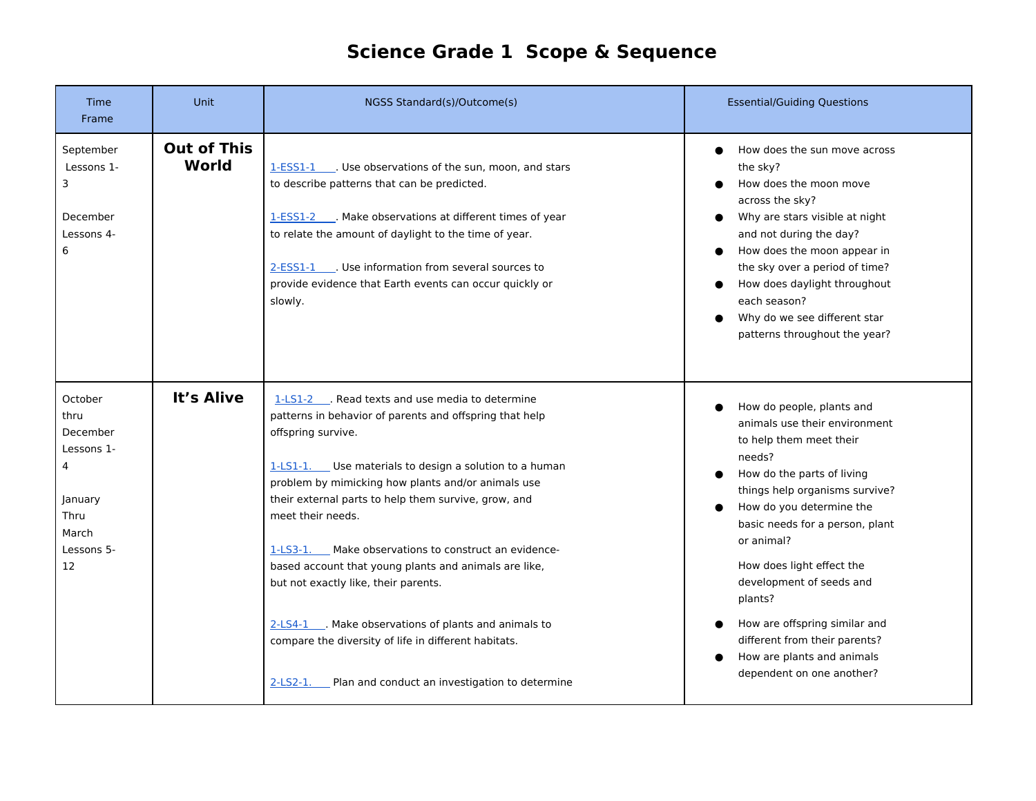## **Science Grade 1 Scope & Sequence**

| Time<br>Frame                                                                                  | Unit                        | NGSS Standard(s)/Outcome(s)                                                                                                                                                                                                                                                                                                                                                                                                                                                                                                                                                                                                                                                  | <b>Essential/Guiding Questions</b>                                                                                                                                                                                                                                                                                                                                                                                                            |
|------------------------------------------------------------------------------------------------|-----------------------------|------------------------------------------------------------------------------------------------------------------------------------------------------------------------------------------------------------------------------------------------------------------------------------------------------------------------------------------------------------------------------------------------------------------------------------------------------------------------------------------------------------------------------------------------------------------------------------------------------------------------------------------------------------------------------|-----------------------------------------------------------------------------------------------------------------------------------------------------------------------------------------------------------------------------------------------------------------------------------------------------------------------------------------------------------------------------------------------------------------------------------------------|
| September<br>Lessons 1-<br>3<br>December<br>Lessons 4-<br>6                                    | <b>Out of This</b><br>World | 1-ESS1-1 Use observations of the sun, moon, and stars<br>to describe patterns that can be predicted.<br>1-ESS1-2 Make observations at different times of year<br>to relate the amount of daylight to the time of year.<br>2-ESS1-1 . Use information from several sources to<br>provide evidence that Earth events can occur quickly or<br>slowly.                                                                                                                                                                                                                                                                                                                           | How does the sun move across<br>the sky?<br>How does the moon move<br>across the sky?<br>Why are stars visible at night<br>and not during the day?<br>How does the moon appear in<br>the sky over a period of time?<br>How does daylight throughout<br>each season?<br>Why do we see different star<br>patterns throughout the year?                                                                                                          |
| October<br>thru<br>December<br>Lessons 1-<br>4<br>January<br>Thru<br>March<br>Lessons 5-<br>12 | It's Alive                  | 1-LS1-2 Read texts and use media to determine<br>patterns in behavior of parents and offspring that help<br>offspring survive.<br>1-LS1-1. Use materials to design a solution to a human<br>problem by mimicking how plants and/or animals use<br>their external parts to help them survive, grow, and<br>meet their needs.<br>$1-LS3-1.$<br>Make observations to construct an evidence-<br>based account that young plants and animals are like,<br>but not exactly like, their parents.<br>2-LS4-1 ___. Make observations of plants and animals to<br>compare the diversity of life in different habitats.<br>$2-LS2-1.$<br>Plan and conduct an investigation to determine | How do people, plants and<br>animals use their environment<br>to help them meet their<br>needs?<br>How do the parts of living<br>things help organisms survive?<br>How do you determine the<br>basic needs for a person, plant<br>or animal?<br>How does light effect the<br>development of seeds and<br>plants?<br>How are offspring similar and<br>different from their parents?<br>How are plants and animals<br>dependent on one another? |